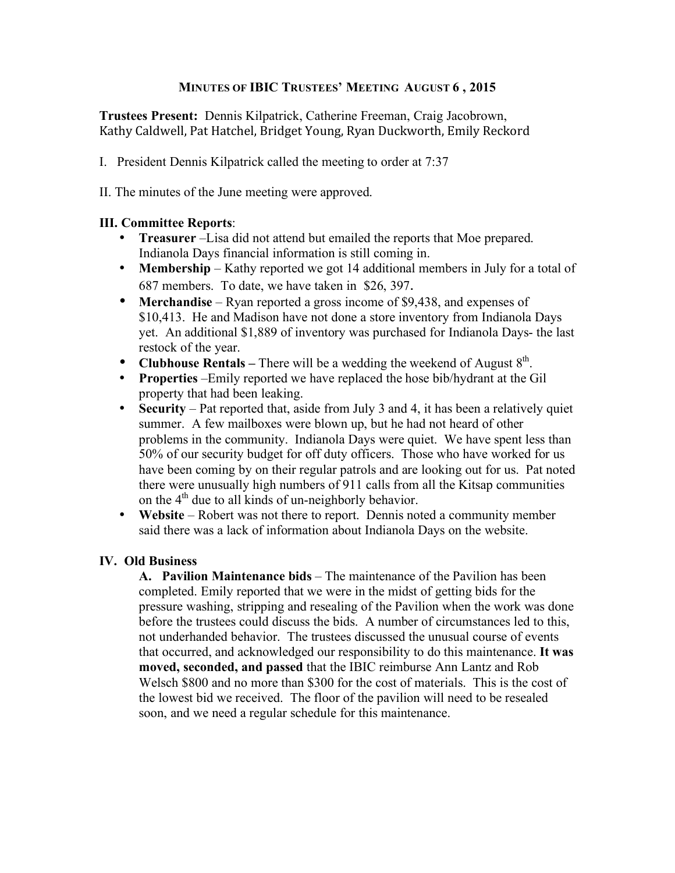## **MINUTES OF IBIC TRUSTEES' MEETING AUGUST 6 , 2015**

**Trustees Present:** Dennis Kilpatrick, Catherine Freeman, Craig Jacobrown, Kathy
Caldwell,
Pat
Hatchel,
Bridget
Young,
Ryan
Duckworth,
Emily
Reckord

- I. President Dennis Kilpatrick called the meeting to order at 7:37
- II. The minutes of the June meeting were approved.

### **III. Committee Reports**:

- **Treasurer** –Lisa did not attend but emailed the reports that Moe prepared. Indianola Days financial information is still coming in.
- **Membership** Kathy reported we got 14 additional members in July for a total of 687 members. To date, we have taken in \$26, 397.
- **Merchandise** Ryan reported a gross income of \$9,438, and expenses of \$10,413. He and Madison have not done a store inventory from Indianola Days yet. An additional \$1,889 of inventory was purchased for Indianola Days- the last restock of the year.
- **Clubhouse Rentals** There will be a wedding the weekend of August  $8^{th}$ .
- **Properties** –Emily reported we have replaced the hose bib/hydrant at the Gil property that had been leaking.
- **Security** Pat reported that, aside from July 3 and 4, it has been a relatively quiet summer. A few mailboxes were blown up, but he had not heard of other problems in the community. Indianola Days were quiet. We have spent less than 50% of our security budget for off duty officers. Those who have worked for us have been coming by on their regular patrols and are looking out for us. Pat noted there were unusually high numbers of 911 calls from all the Kitsap communities on the  $4<sup>th</sup>$  due to all kinds of un-neighborly behavior.
- **Website** Robert was not there to report. Dennis noted a community member said there was a lack of information about Indianola Days on the website.

# **IV. Old Business**

**A. Pavilion Maintenance bids** – The maintenance of the Pavilion has been completed. Emily reported that we were in the midst of getting bids for the pressure washing, stripping and resealing of the Pavilion when the work was done before the trustees could discuss the bids. A number of circumstances led to this, not underhanded behavior. The trustees discussed the unusual course of events that occurred, and acknowledged our responsibility to do this maintenance. **It was moved, seconded, and passed** that the IBIC reimburse Ann Lantz and Rob Welsch \$800 and no more than \$300 for the cost of materials. This is the cost of the lowest bid we received. The floor of the pavilion will need to be resealed soon, and we need a regular schedule for this maintenance.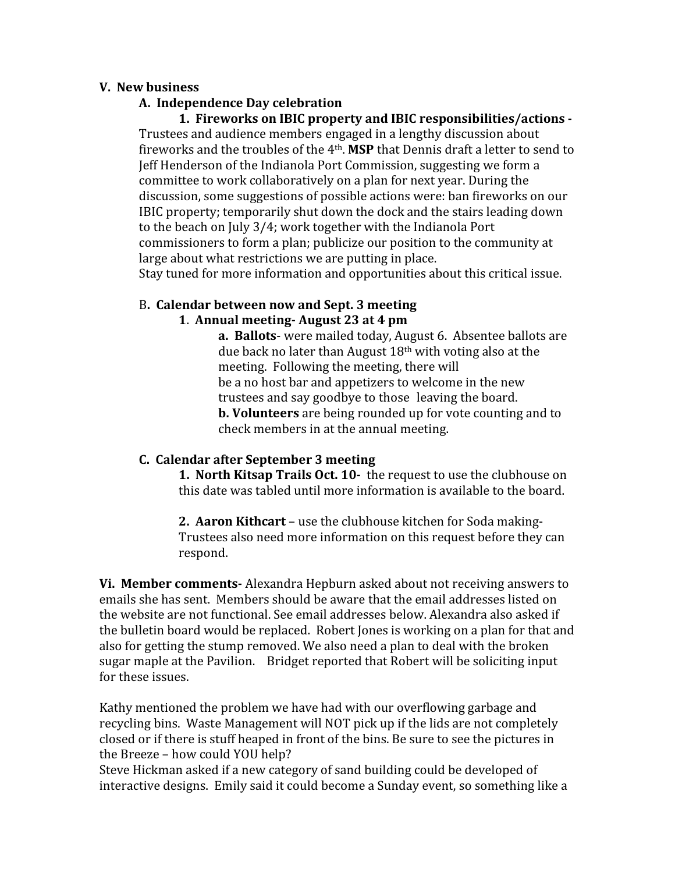### **V.

New
business**

## **A.

Independence
Day
celebration**

**1.

Fireworks
on
IBIC
property
and IBIC
responsibilities/actions**  Trustees
and
audience
members
engaged
in
a
lengthy
discussion
about fireworks and the troubles of the 4<sup>th</sup>. **MSP** that Dennis draft a letter to send to Jeff Henderson of the Indianola Port Commission, suggesting we form a committee
to
work
collaboratively
on
a
plan
for
next
year.
During
the discussion,
some
suggestions
of
possible
actions
were:
ban
fireworks
on
our IBIC
property;
temporarily
shut
down
the
dock
and
the
stairs
leading
down to
the
beach
on
July
3/4;
work
together
with
the
Indianola
Port commissioners
to
form
a
plan;
publicize
our
position
to
the
community
at large about what restrictions we are putting in place.

Stay
tuned
for
more
information
and
opportunities
about
this
critical
issue.

# B**.

Calendar
between
now
and
Sept.
3
meeting**

### **1**. **Annual
meeting
August
23
at
4
pm**

a. Ballots-were mailed today, August 6. Absentee ballots are due back no later than August  $18<sup>th</sup>$  with voting also at the meeting.

Following
the
meeting,
there
will be
a
no
host
bar
and
appetizers
to
welcome
in
the
new trustees
and
say
goodbye
to
those leaving
the
board. **b. Volunteers** are being rounded up for vote counting and to check
members
in
at
the
annual
meeting.

### **C.

Calendar
after
September
3
meeting**

1. North Kitsap Trails Oct. 10- the request to use the clubhouse on this
date
was
tabled
until
more
information
is
available
to
the
board.

2. Aaron Kithcart – use the clubhouse kitchen for Soda making-Trustees
also
need
more
information
on
this
request
before
they
can respond.

Vi. Member comments- Alexandra Hepburn asked about not receiving answers to emails she has sent. Members should be aware that the email addresses listed on the website are not functional. See email addresses below. Alexandra also asked if the
bulletin
board
would
be
replaced.

Robert
Jones
is
working
on
a
plan
for
that
and also
for
getting
the
stump
removed.
We
also
need
a
plan
to
deal
with
the
broken sugar
maple
at
the
Pavilion.

Bridget
reported
that
Robert
will
be
soliciting
input for
these
issues.

Kathy
mentioned
the
problem
we
have
had
with
our
overflowing
garbage
and recycling bins. Waste Management will NOT pick up if the lids are not completely closed
or
if
there
is
stuff
heaped
in
front
of
the
bins. Be
sure
to
see
the
pictures
in the
Breeze –
how
could
YOU
help?

Steve Hickman asked if a new category of sand building could be developed of interactive designs. Emily said it could become a Sunday event, so something like a